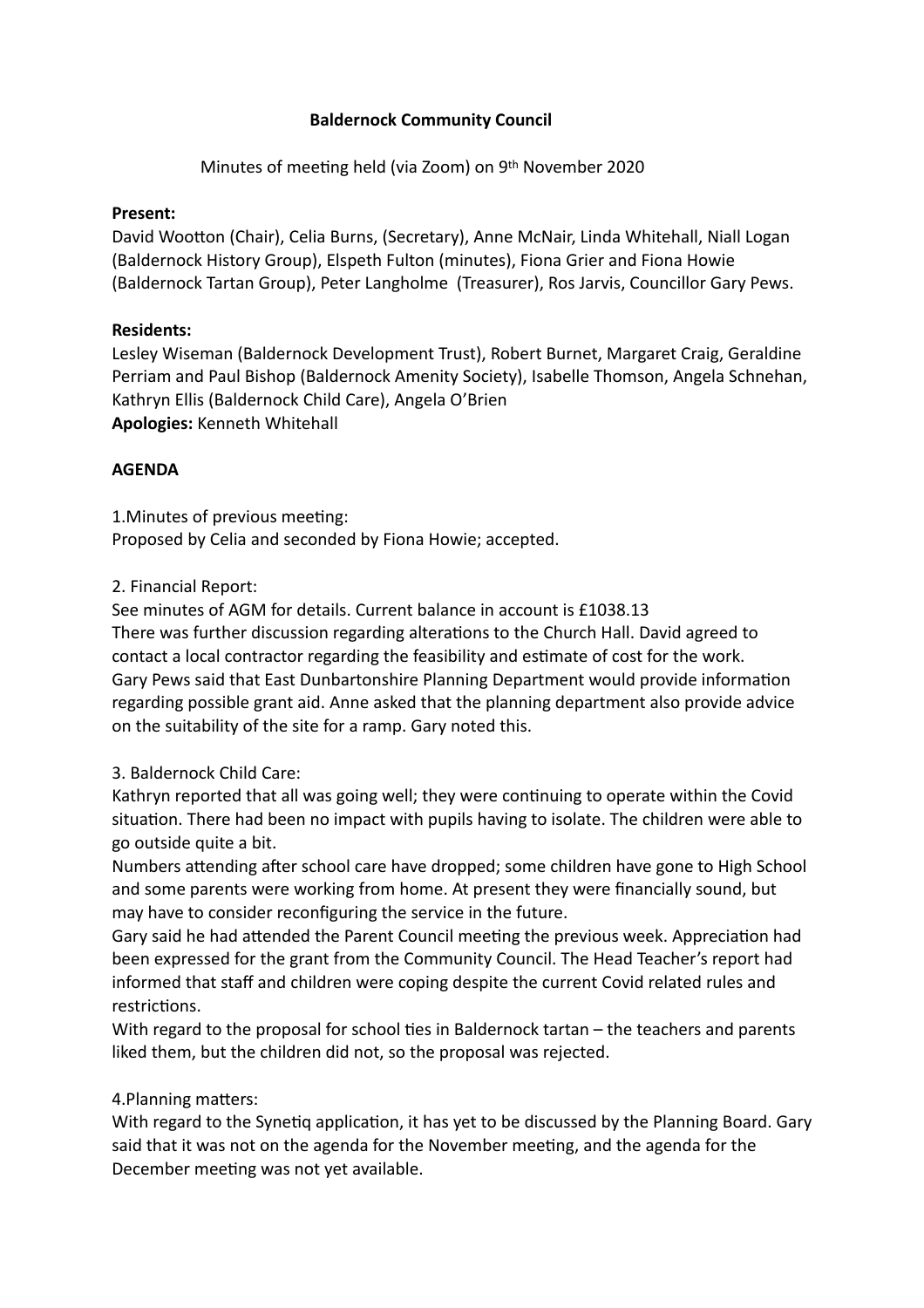### **Baldernock Community Council**

Minutes of meeting held (via Zoom) on 9th November 2020

#### **Present:**

David Wootton (Chair), Celia Burns, (Secretary), Anne McNair, Linda Whitehall, Niall Logan (Baldernock History Group), Elspeth Fulton (minutes), Fiona Grier and Fiona Howie (Baldernock Tartan Group), Peter Langholme (Treasurer), Ros Jarvis, Councillor Gary Pews.

### **Residents:**

Lesley Wiseman (Baldernock Development Trust), Robert Burnet, Margaret Craig, Geraldine Perriam and Paul Bishop (Baldernock Amenity Society), Isabelle Thomson, Angela Schnehan, Kathryn Ellis (Baldernock Child Care), Angela O'Brien **Apologies:** Kenneth Whitehall

### **AGENDA**

1. Minutes of previous meeting: Proposed by Celia and seconded by Fiona Howie; accepted.

### 2. Financial Report:

See minutes of AGM for details. Current balance in account is £1038.13

There was further discussion regarding alterations to the Church Hall. David agreed to contact a local contractor regarding the feasibility and estimate of cost for the work. Gary Pews said that East Dunbartonshire Planning Department would provide information regarding possible grant aid. Anne asked that the planning department also provide advice on the suitability of the site for a ramp. Gary noted this.

### 3. Baldernock Child Care:

Kathryn reported that all was going well; they were continuing to operate within the Covid situation. There had been no impact with pupils having to isolate. The children were able to go outside quite a bit.

Numbers attending after school care have dropped; some children have gone to High School and some parents were working from home. At present they were financially sound, but may have to consider reconfiguring the service in the future.

Gary said he had attended the Parent Council meeting the previous week. Appreciation had been expressed for the grant from the Community Council. The Head Teacher's report had informed that staff and children were coping despite the current Covid related rules and restrictions.

With regard to the proposal for school ties in Baldernock tartan  $-$  the teachers and parents liked them, but the children did not, so the proposal was rejected.

### 4. Planning matters:

With regard to the Synetig application, it has yet to be discussed by the Planning Board. Gary said that it was not on the agenda for the November meeting, and the agenda for the December meeting was not yet available.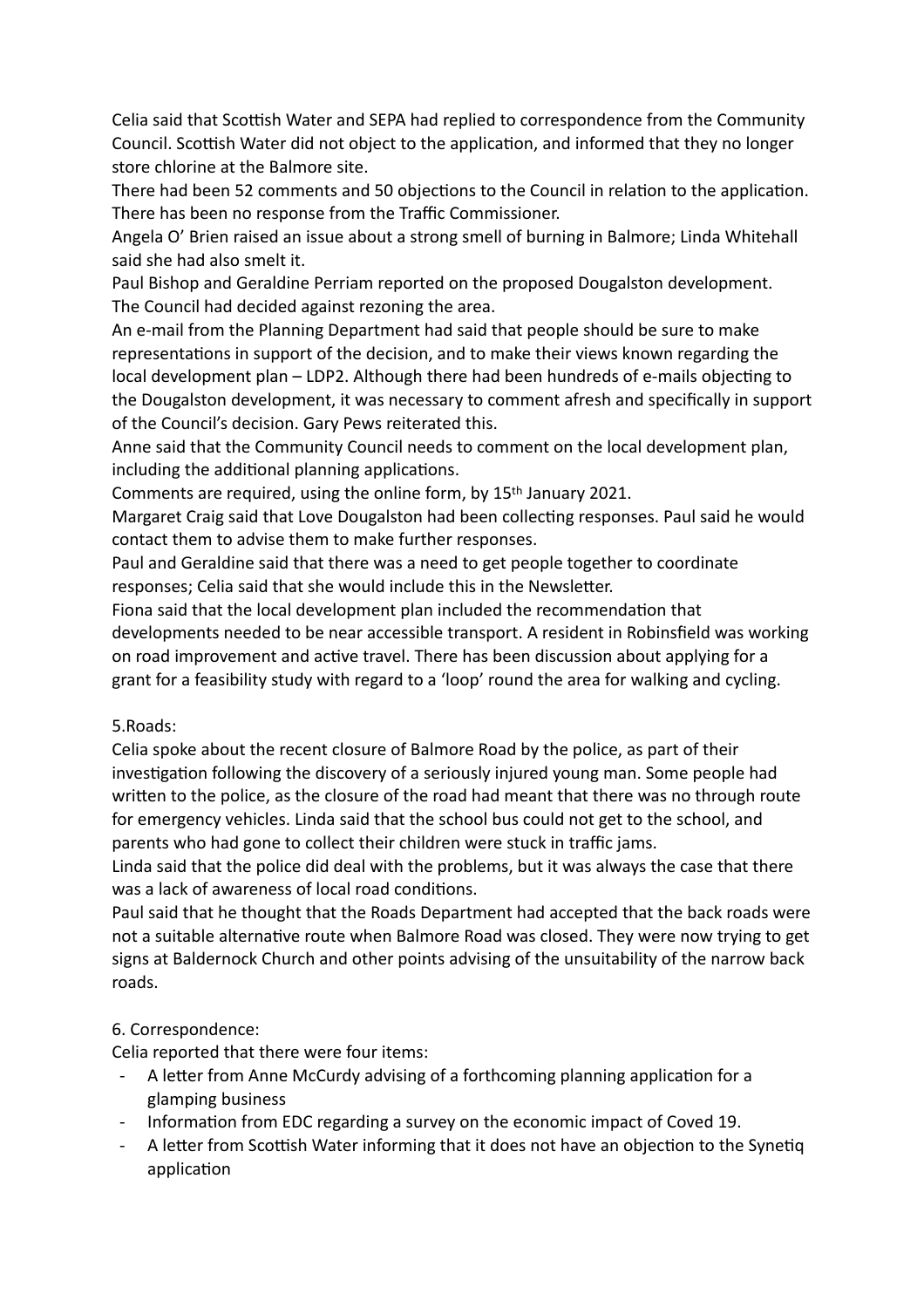Celia said that Scottish Water and SEPA had replied to correspondence from the Community Council. Scottish Water did not object to the application, and informed that they no longer store chlorine at the Balmore site.

There had been 52 comments and 50 objections to the Council in relation to the application. There has been no response from the Traffic Commissioner.

Angela O' Brien raised an issue about a strong smell of burning in Balmore; Linda Whitehall said she had also smelt it.

Paul Bishop and Geraldine Perriam reported on the proposed Dougalston development. The Council had decided against rezoning the area.

An e-mail from the Planning Department had said that people should be sure to make representations in support of the decision, and to make their views known regarding the local development plan – LDP2. Although there had been hundreds of e-mails objecting to the Dougalston development, it was necessary to comment afresh and specifically in support of the Council's decision. Gary Pews reiterated this.

Anne said that the Community Council needs to comment on the local development plan, including the additional planning applications.

Comments are required, using the online form, by 15th January 2021.

Margaret Craig said that Love Dougalston had been collecting responses. Paul said he would contact them to advise them to make further responses.

Paul and Geraldine said that there was a need to get people together to coordinate responses; Celia said that she would include this in the Newsletter.

Fiona said that the local development plan included the recommendation that developments needed to be near accessible transport. A resident in Robinsfield was working on road improvement and active travel. There has been discussion about applying for a grant for a feasibility study with regard to a 'loop' round the area for walking and cycling.

# 5.Roads:

Celia spoke about the recent closure of Balmore Road by the police, as part of their investigation following the discovery of a seriously injured young man. Some people had written to the police, as the closure of the road had meant that there was no through route for emergency vehicles. Linda said that the school bus could not get to the school, and parents who had gone to collect their children were stuck in traffic jams.

Linda said that the police did deal with the problems, but it was always the case that there was a lack of awareness of local road conditions.

Paul said that he thought that the Roads Department had accepted that the back roads were not a suitable alternative route when Balmore Road was closed. They were now trying to get signs at Baldernock Church and other points advising of the unsuitability of the narrow back roads.

# 6. Correspondence:

Celia reported that there were four items:

- A letter from Anne McCurdy advising of a forthcoming planning application for a glamping business
- Information from EDC regarding a survey on the economic impact of Coved 19.
- A letter from Scottish Water informing that it does not have an objection to the Synetiq application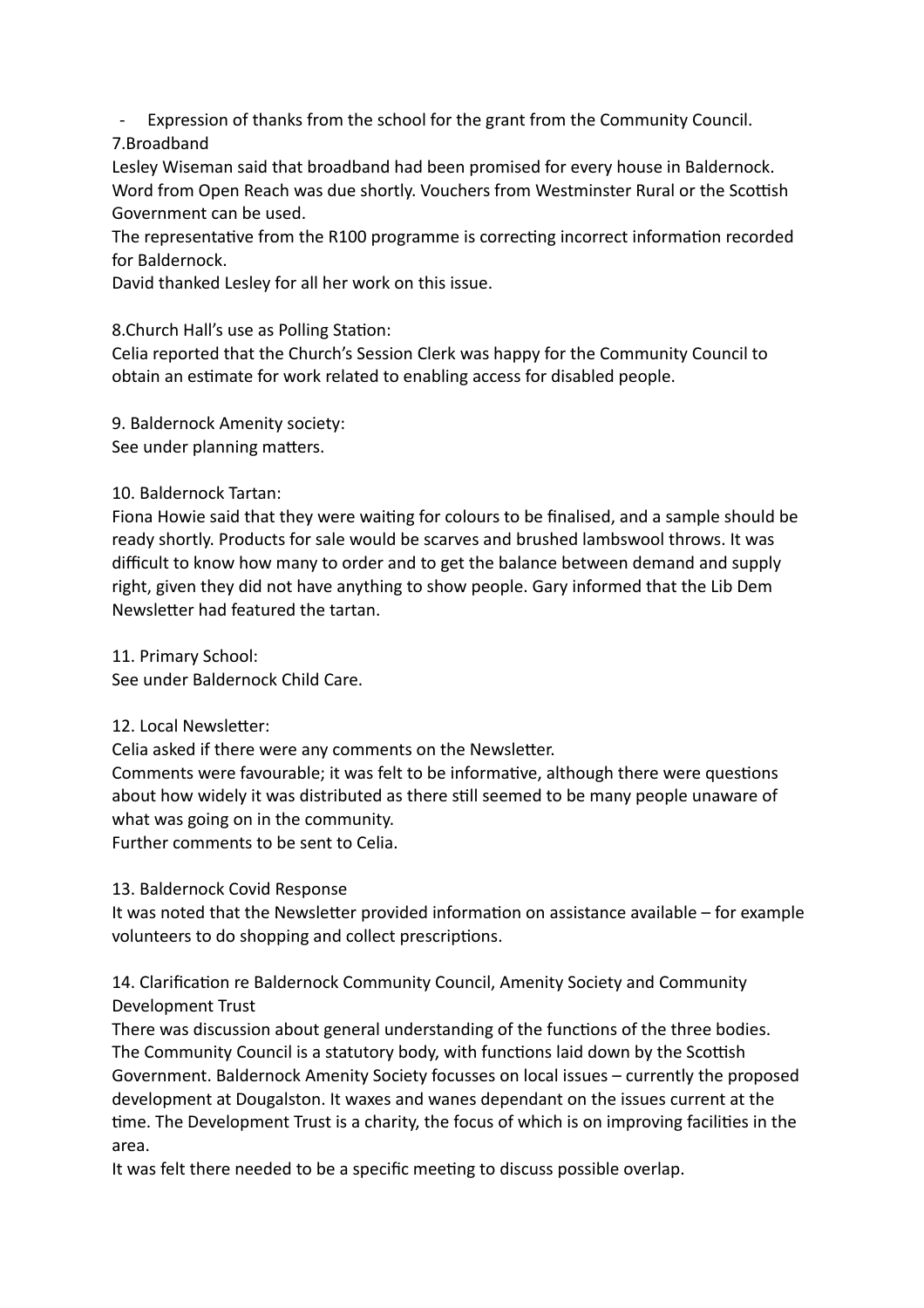- Expression of thanks from the school for the grant from the Community Council.

7.Broadband

Lesley Wiseman said that broadband had been promised for every house in Baldernock. Word from Open Reach was due shortly. Vouchers from Westminster Rural or the Scottish Government can be used.

The representative from the R100 programme is correcting incorrect information recorded for Baldernock.

David thanked Lesley for all her work on this issue.

8. Church Hall's use as Polling Station:

Celia reported that the Church's Session Clerk was happy for the Community Council to obtain an estimate for work related to enabling access for disabled people.

9. Baldernock Amenity society: See under planning matters.

# 10. Baldernock Tartan:

Fiona Howie said that they were waiting for colours to be finalised, and a sample should be ready shortly. Products for sale would be scarves and brushed lambswool throws. It was difficult to know how many to order and to get the balance between demand and supply right, given they did not have anything to show people. Gary informed that the Lib Dem Newsletter had featured the tartan.

11. Primary School: See under Baldernock Child Care.

12. Local Newsletter:

Celia asked if there were any comments on the Newsletter.

Comments were favourable; it was felt to be informative, although there were questions about how widely it was distributed as there still seemed to be many people unaware of what was going on in the community.

Further comments to be sent to Celia.

# 13. Baldernock Covid Response

It was noted that the Newsletter provided information on assistance available – for example volunteers to do shopping and collect prescriptions.

14. Clarification re Baldernock Community Council, Amenity Society and Community Development Trust

There was discussion about general understanding of the functions of the three bodies. The Community Council is a statutory body, with functions laid down by the Scottish Government. Baldernock Amenity Society focusses on local issues – currently the proposed development at Dougalston. It waxes and wanes dependant on the issues current at the time. The Development Trust is a charity, the focus of which is on improving facilities in the area.

It was felt there needed to be a specific meeting to discuss possible overlap.